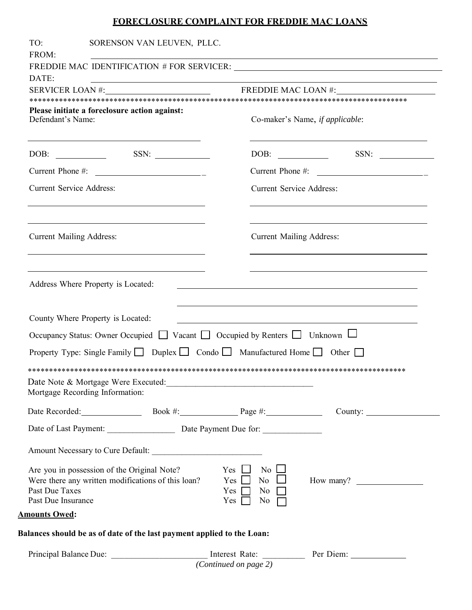## FORECLOSURE COMPLAINT FOR FREDDIE MAC LOANS

| TO:<br>FROM:                                                                                                                                                                                                                                                     | SORENSON VAN LEUVEN, PLLC.                                                                                           |                                                                                                                                        |                                                                                                                              |  |  |
|------------------------------------------------------------------------------------------------------------------------------------------------------------------------------------------------------------------------------------------------------------------|----------------------------------------------------------------------------------------------------------------------|----------------------------------------------------------------------------------------------------------------------------------------|------------------------------------------------------------------------------------------------------------------------------|--|--|
|                                                                                                                                                                                                                                                                  |                                                                                                                      |                                                                                                                                        | <u> 1989 - Johann Stoff, deutscher Stoffen und der Stoffen und der Stoffen und der Stoffen und der Stoffen und der</u>       |  |  |
| DATE:                                                                                                                                                                                                                                                            | <u> 1989 - Johann Barn, amerikan besteman besteman besteman besteman besteman besteman besteman besteman bestema</u> |                                                                                                                                        |                                                                                                                              |  |  |
|                                                                                                                                                                                                                                                                  |                                                                                                                      |                                                                                                                                        | SERVICER LOAN #: FREDDIE MAC LOAN #:                                                                                         |  |  |
| Please initiate a foreclosure action against:<br>Defendant's Name:                                                                                                                                                                                               |                                                                                                                      |                                                                                                                                        | Co-maker's Name, if applicable:                                                                                              |  |  |
|                                                                                                                                                                                                                                                                  |                                                                                                                      |                                                                                                                                        |                                                                                                                              |  |  |
|                                                                                                                                                                                                                                                                  | Current Phone #: $\frac{1}{2}$                                                                                       |                                                                                                                                        |                                                                                                                              |  |  |
| <b>Current Service Address:</b>                                                                                                                                                                                                                                  |                                                                                                                      |                                                                                                                                        | <b>Current Service Address:</b>                                                                                              |  |  |
| <b>Current Mailing Address:</b><br>the control of the control of the control of the control of the control of the control of the control of the control of the control of the control of the control of the control of the control of the control of the control |                                                                                                                      |                                                                                                                                        | <b>Current Mailing Address:</b><br>the control of the control of the control of the control of the control of the control of |  |  |
| Address Where Property is Located:<br>County Where Property is Located:                                                                                                                                                                                          |                                                                                                                      |                                                                                                                                        | <u> 1989 - Johann Stoff, amerikansk politiker (d. 1989)</u>                                                                  |  |  |
|                                                                                                                                                                                                                                                                  |                                                                                                                      | Occupancy Status: Owner Occupied □ Vacant □ Occupied by Renters □ Unknown □                                                            |                                                                                                                              |  |  |
|                                                                                                                                                                                                                                                                  |                                                                                                                      | Property Type: Single Family $\Box$ Duplex $\Box$ Condo $\Box$ Manufactured Home $\Box$ Other $\Box$                                   |                                                                                                                              |  |  |
|                                                                                                                                                                                                                                                                  |                                                                                                                      |                                                                                                                                        |                                                                                                                              |  |  |
| Mortgage Recording Information:                                                                                                                                                                                                                                  | Date Note & Mortgage Were Executed:<br><u>Date Note &amp; Mortgage Were Executed:</u>                                |                                                                                                                                        |                                                                                                                              |  |  |
|                                                                                                                                                                                                                                                                  |                                                                                                                      |                                                                                                                                        |                                                                                                                              |  |  |
|                                                                                                                                                                                                                                                                  |                                                                                                                      | Date of Last Payment: Date Payment Due for:                                                                                            |                                                                                                                              |  |  |
|                                                                                                                                                                                                                                                                  | Amount Necessary to Cure Default:                                                                                    |                                                                                                                                        |                                                                                                                              |  |  |
| Are you in possession of the Original Note?<br>Past Due Taxes<br>Past Due Insurance                                                                                                                                                                              | Were there any written modifications of this loan?                                                                   | Yes $\Box$<br>$\overline{N_0}$ $\Box$<br>$\overline{N_0}$ $\Box$<br>$Yes$ $\Box$<br>Yes $\Box$<br>No $\Box$<br>Yes $\Box$<br>No $\Box$ | How many?                                                                                                                    |  |  |
| <b>Amounts Owed:</b>                                                                                                                                                                                                                                             |                                                                                                                      |                                                                                                                                        |                                                                                                                              |  |  |
|                                                                                                                                                                                                                                                                  | Balances should be as of date of the last payment applied to the Loan:                                               |                                                                                                                                        |                                                                                                                              |  |  |
|                                                                                                                                                                                                                                                                  |                                                                                                                      | (Continued on page 2)                                                                                                                  | Principal Balance Due: __________________________ Interest Rate: ______________ Per Diem: __________                         |  |  |